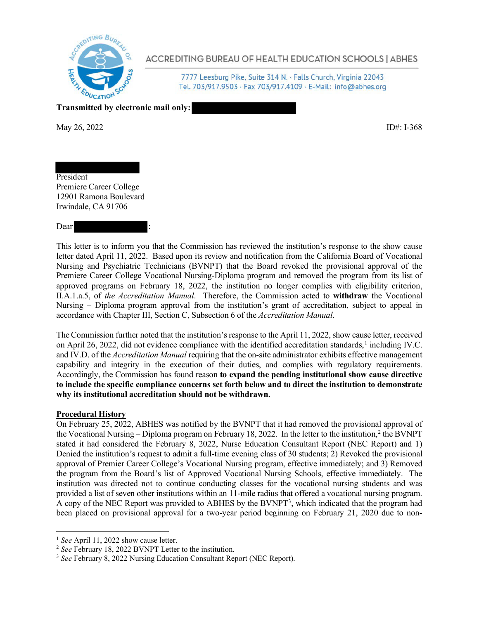

**ACCREDITING BUREAU OF HEALTH EDUCATION SCHOOLS | ABHES** 

7777 Leesburg Pike, Suite 314 N. · Falls Church, Virginia 22043 Tel. 703/917.9503 · Fax 703/917.4109 · E-Mail: info@abhes.org

**Transmitted by electronic mail only:** 

May 26, 2022 **ID#:** I-368

President Premiere Career College 12901 Ramona Boulevard Irwindale, CA 91706

#### Dear

This letter is to inform you that the Commission has reviewed the institution's response to the show cause letter dated April 11, 2022. Based upon its review and notification from the California Board of Vocational Nursing and Psychiatric Technicians (BVNPT) that the Board revoked the provisional approval of the Premiere Career College Vocational Nursing-Diploma program and removed the program from its list of approved programs on February 18, 2022, the institution no longer complies with eligibility criterion, II.A.1.a.5, of *the Accreditation Manual*. Therefore, the Commission acted to **withdraw** the Vocational Nursing – Diploma program approval from the institution's grant of accreditation, subject to appeal in accordance with Chapter III, Section C, Subsection 6 of the *Accreditation Manual*.

The Commission further noted that the institution's response to the April 11, 2022, show cause letter, received on April 26, 2022, did not evidence compliance with the identified accreditation standards, <sup>1</sup> including IV.C. and IV.D. of the *Accreditation Manual* requiring that the on-site administrator exhibits effective management capability and integrity in the execution of their duties, and complies with regulatory requirements. Accordingly, the Commission has found reason **to expand the pending institutional show cause directive to include the specific compliance concerns set forth below and to direct the institution to demonstrate why its institutional accreditation should not be withdrawn.**

## **Procedural History**

On February 25, 2022, ABHES was notified by the BVNPT that it had removed the provisional approval of the Vocational Nursing – Diploma program on February 18, 2022. In the letter to the institution,<sup>2</sup> the BVNPT stated it had considered the February 8, 2022, Nurse Education Consultant Report (NEC Report) and 1) Denied the institution's request to admit a full-time evening class of 30 students; 2) Revoked the provisional approval of Premier Career College's Vocational Nursing program, effective immediately; and 3) Removed the program from the Board's list of Approved Vocational Nursing Schools, effective immediately. The institution was directed not to continue conducting classes for the vocational nursing students and was provided a list of seven other institutions within an 11-mile radius that offered a vocational nursing program. A copy of the NEC Report was provided to ABHES by the BVNPT3, which indicated that the program had been placed on provisional approval for a two-year period beginning on February 21, 2020 due to non-

<sup>&</sup>lt;sup>1</sup> See April 11, 2022 show cause letter.

<sup>2</sup> *See* February 18, 2022 BVNPT Letter to the institution.

<sup>3</sup> *See* February 8, 2022 Nursing Education Consultant Report (NEC Report).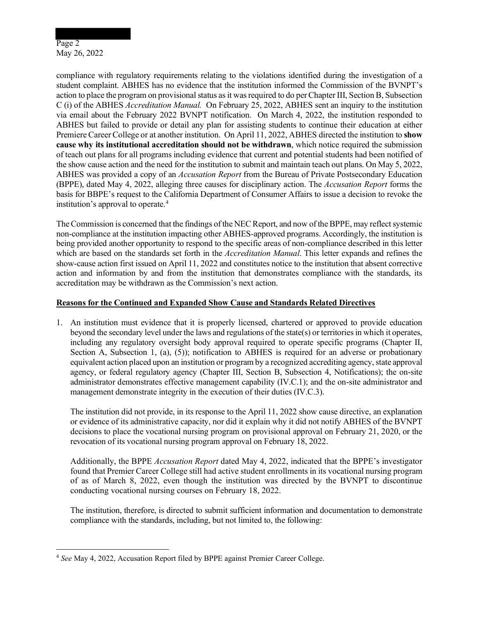# Page 2 May 26, 2022

compliance with regulatory requirements relating to the violations identified during the investigation of a student complaint. ABHES has no evidence that the institution informed the Commission of the BVNPT's action to place the program on provisional status as it was required to do per Chapter III, Section B, Subsection C (i) of the ABHES *Accreditation Manual.* On February 25, 2022, ABHES sent an inquiry to the institution via email about the February 2022 BVNPT notification. On March 4, 2022, the institution responded to ABHES but failed to provide or detail any plan for assisting students to continue their education at either Premiere Career College or at another institution. On April 11, 2022, ABHES directed the institution to **show cause why its institutional accreditation should not be withdrawn**, which notice required the submission of teach out plans for all programs including evidence that current and potential students had been notified of the show cause action and the need for the institution to submit and maintain teach out plans. On May 5, 2022, ABHES was provided a copy of an *Accusation Report* from the Bureau of Private Postsecondary Education (BPPE), dated May 4, 2022, alleging three causes for disciplinary action. The *Accusation Report* forms the basis for BBPE's request to the California Department of Consumer Affairs to issue a decision to revoke the institution's approval to operate.4

The Commission is concerned that the findings of the NEC Report, and now of the BPPE, may reflect systemic non-compliance at the institution impacting other ABHES-approved programs. Accordingly, the institution is being provided another opportunity to respond to the specific areas of non-compliance described in this letter which are based on the standards set forth in the *Accreditation Manual*. This letter expands and refines the show-cause action first issued on April 11, 2022 and constitutes notice to the institution that absent corrective action and information by and from the institution that demonstrates compliance with the standards, its accreditation may be withdrawn as the Commission's next action.

# **Reasons for the Continued and Expanded Show Cause and Standards Related Directives**

1. An institution must evidence that it is properly licensed, chartered or approved to provide education beyond the secondary level under the laws and regulations of the state(s) or territories in which it operates, including any regulatory oversight body approval required to operate specific programs (Chapter II, Section A, Subsection 1, (a), (5)); notification to ABHES is required for an adverse or probationary equivalent action placed upon an institution or program by a recognized accrediting agency, state approval agency, or federal regulatory agency (Chapter III, Section B, Subsection 4, Notifications); the on-site administrator demonstrates effective management capability (IV.C.1); and the on-site administrator and management demonstrate integrity in the execution of their duties (IV.C.3).

The institution did not provide, in its response to the April 11, 2022 show cause directive, an explanation or evidence of its administrative capacity, nor did it explain why it did not notify ABHES of the BVNPT decisions to place the vocational nursing program on provisional approval on February 21, 2020, or the revocation of its vocational nursing program approval on February 18, 2022.

Additionally, the BPPE *Accusation Report* dated May 4, 2022, indicated that the BPPE's investigator found that Premier Career College still had active student enrollments in its vocational nursing program of as of March 8, 2022, even though the institution was directed by the BVNPT to discontinue conducting vocational nursing courses on February 18, 2022.

The institution, therefore, is directed to submit sufficient information and documentation to demonstrate compliance with the standards, including, but not limited to, the following:

<sup>4</sup> *See* May 4, 2022, Accusation Report filed by BPPE against Premier Career College.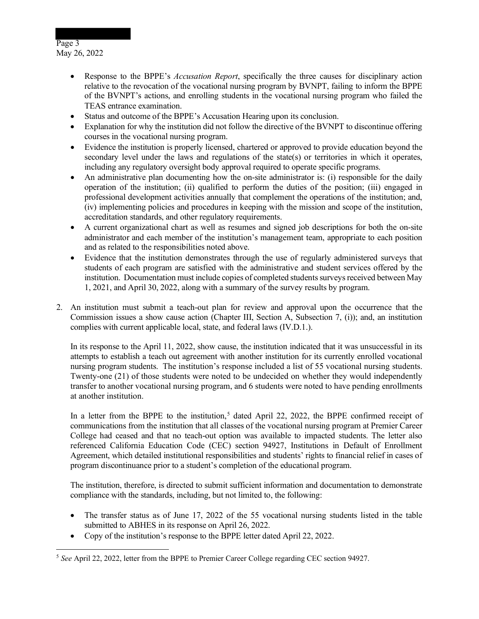# Page 3 May 26, 2022

- Response to the BPPE's *Accusation Report*, specifically the three causes for disciplinary action relative to the revocation of the vocational nursing program by BVNPT, failing to inform the BPPE of the BVNPT's actions, and enrolling students in the vocational nursing program who failed the TEAS entrance examination.
- Status and outcome of the BPPE's Accusation Hearing upon its conclusion.
- Explanation for why the institution did not follow the directive of the BVNPT to discontinue offering courses in the vocational nursing program.
- Evidence the institution is properly licensed, chartered or approved to provide education beyond the secondary level under the laws and regulations of the state(s) or territories in which it operates, including any regulatory oversight body approval required to operate specific programs.
- An administrative plan documenting how the on-site administrator is: (i) responsible for the daily operation of the institution; (ii) qualified to perform the duties of the position; (iii) engaged in professional development activities annually that complement the operations of the institution; and, (iv) implementing policies and procedures in keeping with the mission and scope of the institution, accreditation standards, and other regulatory requirements.
- A current organizational chart as well as resumes and signed job descriptions for both the on-site administrator and each member of the institution's management team, appropriate to each position and as related to the responsibilities noted above.
- Evidence that the institution demonstrates through the use of regularly administered surveys that students of each program are satisfied with the administrative and student services offered by the institution. Documentation must include copies of completed students surveys received between May 1, 2021, and April 30, 2022, along with a summary of the survey results by program.
- 2. An institution must submit a teach-out plan for review and approval upon the occurrence that the Commission issues a show cause action (Chapter III, Section A, Subsection 7, (i)); and, an institution complies with current applicable local, state, and federal laws (IV.D.1.).

In its response to the April 11, 2022, show cause, the institution indicated that it was unsuccessful in its attempts to establish a teach out agreement with another institution for its currently enrolled vocational nursing program students. The institution's response included a list of 55 vocational nursing students. Twenty-one (21) of those students were noted to be undecided on whether they would independently transfer to another vocational nursing program, and 6 students were noted to have pending enrollments at another institution.

In a letter from the BPPE to the institution,<sup>5</sup> dated April 22, 2022, the BPPE confirmed receipt of communications from the institution that all classes of the vocational nursing program at Premier Career College had ceased and that no teach-out option was available to impacted students. The letter also referenced California Education Code (CEC) section 94927, Institutions in Default of Enrollment Agreement, which detailed institutional responsibilities and students' rights to financial relief in cases of program discontinuance prior to a student's completion of the educational program.

The institution, therefore, is directed to submit sufficient information and documentation to demonstrate compliance with the standards, including, but not limited to, the following:

- The transfer status as of June 17, 2022 of the 55 vocational nursing students listed in the table submitted to ABHES in its response on April 26, 2022.
- Copy of the institution's response to the BPPE letter dated April 22, 2022.

<sup>5</sup> *See* April 22, 2022, letter from the BPPE to Premier Career College regarding CEC section 94927.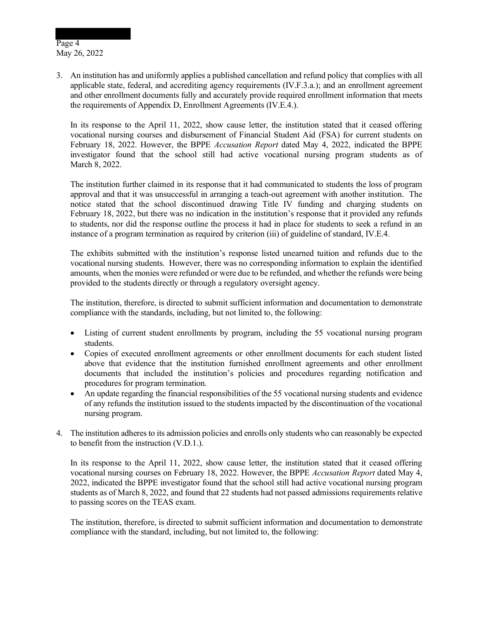Page 4 May 26, 2022

3. An institution has and uniformly applies a published cancellation and refund policy that complies with all applicable state, federal, and accrediting agency requirements (IV.F.3.a.); and an enrollment agreement and other enrollment documents fully and accurately provide required enrollment information that meets the requirements of Appendix D, Enrollment Agreements (IV.E.4.).

In its response to the April 11, 2022, show cause letter, the institution stated that it ceased offering vocational nursing courses and disbursement of Financial Student Aid (FSA) for current students on February 18, 2022. However, the BPPE *Accusation Report* dated May 4, 2022, indicated the BPPE investigator found that the school still had active vocational nursing program students as of March 8, 2022.

The institution further claimed in its response that it had communicated to students the loss of program approval and that it was unsuccessful in arranging a teach-out agreement with another institution. The notice stated that the school discontinued drawing Title IV funding and charging students on February 18, 2022, but there was no indication in the institution's response that it provided any refunds to students, nor did the response outline the process it had in place for students to seek a refund in an instance of a program termination as required by criterion (iii) of guideline of standard, IV.E.4.

The exhibits submitted with the institution's response listed unearned tuition and refunds due to the vocational nursing students. However, there was no corresponding information to explain the identified amounts, when the monies were refunded or were due to be refunded, and whether the refunds were being provided to the students directly or through a regulatory oversight agency.

The institution, therefore, is directed to submit sufficient information and documentation to demonstrate compliance with the standards, including, but not limited to, the following:

- Listing of current student enrollments by program, including the 55 vocational nursing program students.
- Copies of executed enrollment agreements or other enrollment documents for each student listed above that evidence that the institution furnished enrollment agreements and other enrollment documents that included the institution's policies and procedures regarding notification and procedures for program termination.
- An update regarding the financial responsibilities of the 55 vocational nursing students and evidence of any refunds the institution issued to the students impacted by the discontinuation of the vocational nursing program.
- 4. The institution adheres to its admission policies and enrolls only students who can reasonably be expected to benefit from the instruction (V.D.1.).

In its response to the April 11, 2022, show cause letter, the institution stated that it ceased offering vocational nursing courses on February 18, 2022. However, the BPPE *Accusation Report* dated May 4, 2022, indicated the BPPE investigator found that the school still had active vocational nursing program students as of March 8, 2022, and found that 22 students had not passed admissions requirements relative to passing scores on the TEAS exam.

The institution, therefore, is directed to submit sufficient information and documentation to demonstrate compliance with the standard, including, but not limited to, the following: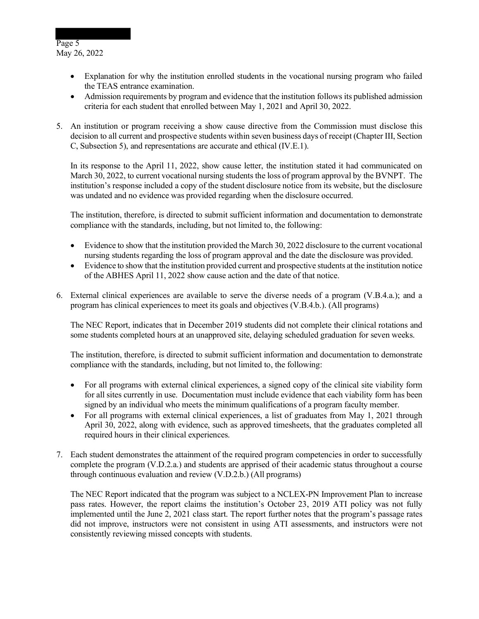Page 5 May 26, 2022

- Explanation for why the institution enrolled students in the vocational nursing program who failed the TEAS entrance examination.
- Admission requirements by program and evidence that the institution follows its published admission criteria for each student that enrolled between May 1, 2021 and April 30, 2022.
- 5. An institution or program receiving a show cause directive from the Commission must disclose this decision to all current and prospective students within seven business days of receipt (Chapter III, Section C, Subsection 5), and representations are accurate and ethical (IV.E.1).

In its response to the April 11, 2022, show cause letter, the institution stated it had communicated on March 30, 2022, to current vocational nursing students the loss of program approval by the BVNPT. The institution's response included a copy of the student disclosure notice from its website, but the disclosure was undated and no evidence was provided regarding when the disclosure occurred.

The institution, therefore, is directed to submit sufficient information and documentation to demonstrate compliance with the standards, including, but not limited to, the following:

- Evidence to show that the institution provided the March 30, 2022 disclosure to the current vocational nursing students regarding the loss of program approval and the date the disclosure was provided.
- Evidence to show that the institution provided current and prospective students at the institution notice of the ABHES April 11, 2022 show cause action and the date of that notice.
- 6. External clinical experiences are available to serve the diverse needs of a program (V.B.4.a.); and a program has clinical experiences to meet its goals and objectives (V.B.4.b.). (All programs)

The NEC Report, indicates that in December 2019 students did not complete their clinical rotations and some students completed hours at an unapproved site, delaying scheduled graduation for seven weeks.

The institution, therefore, is directed to submit sufficient information and documentation to demonstrate compliance with the standards, including, but not limited to, the following:

- For all programs with external clinical experiences, a signed copy of the clinical site viability form for all sites currently in use. Documentation must include evidence that each viability form has been signed by an individual who meets the minimum qualifications of a program faculty member.
- For all programs with external clinical experiences, a list of graduates from May 1, 2021 through April 30, 2022, along with evidence, such as approved timesheets, that the graduates completed all required hours in their clinical experiences.
- 7. Each student demonstrates the attainment of the required program competencies in order to successfully complete the program (V.D.2.a.) and students are apprised of their academic status throughout a course through continuous evaluation and review (V.D.2.b.) (All programs)

The NEC Report indicated that the program was subject to a NCLEX-PN Improvement Plan to increase pass rates. However, the report claims the institution's October 23, 2019 ATI policy was not fully implemented until the June 2, 2021 class start. The report further notes that the program's passage rates did not improve, instructors were not consistent in using ATI assessments, and instructors were not consistently reviewing missed concepts with students.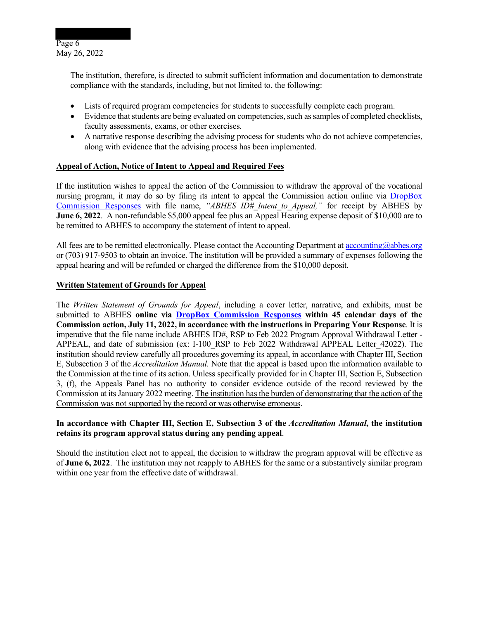

The institution, therefore, is directed to submit sufficient information and documentation to demonstrate compliance with the standards, including, but not limited to, the following:

- Lists of required program competencies for students to successfully complete each program.
- Evidence that students are being evaluated on competencies, such as samples of completed checklists, faculty assessments, exams, or other exercises.
- A narrative response describing the advising process for students who do not achieve competencies, along with evidence that the advising process has been implemented.

## **Appeal of Action, Notice of Intent to Appeal and Required Fees**

If the institution wishes to appeal the action of the Commission to withdraw the approval of the vocational nursing program, it may do so by filing its intent to appeal the Commission action online via DropBox Commission Responses with file name, *"ABHES ID#\_Intent\_to\_Appeal,"* for receipt by ABHES by **June 6, 2022.** A non-refundable \$5,000 appeal fee plus an Appeal Hearing expense deposit of \$10,000 are to be remitted to ABHES to accompany the statement of intent to appeal.

All fees are to be remitted electronically. Please contact the Accounting Department at accounting@abhes.org or (703) 917‐9503 to obtain an invoice. The institution will be provided a summary of expenses following the appeal hearing and will be refunded or charged the difference from the \$10,000 deposit.

#### **Written Statement of Grounds for Appeal**

The *Written Statement of Grounds for Appeal*, including a cover letter, narrative, and exhibits, must be submitted to ABHES **online via DropBox Commission Responses within 45 calendar days of the Commission action, July 11, 2022, in accordance with the instructions in Preparing Your Response**. It is imperative that the file name include ABHES ID#, RSP to Feb 2022 Program Approval Withdrawal Letter - APPEAL, and date of submission (ex: I-100 RSP to Feb 2022 Withdrawal APPEAL Letter 42022). The institution should review carefully all procedures governing its appeal, in accordance with Chapter III, Section E, Subsection 3 of the *Accreditation Manual*. Note that the appeal is based upon the information available to the Commission at the time of its action. Unless specifically provided for in Chapter III, Section E, Subsection 3, (f), the Appeals Panel has no authority to consider evidence outside of the record reviewed by the Commission at its January 2022 meeting. The institution has the burden of demonstrating that the action of the Commission was not supported by the record or was otherwise erroneous.

## **In accordance with Chapter III, Section E, Subsection 3 of the** *Accreditation Manual***, the institution retains its program approval status during any pending appeal**.

Should the institution elect not to appeal, the decision to withdraw the program approval will be effective as of **June 6, 2022**. The institution may not reapply to ABHES for the same or a substantively similar program within one year from the effective date of withdrawal.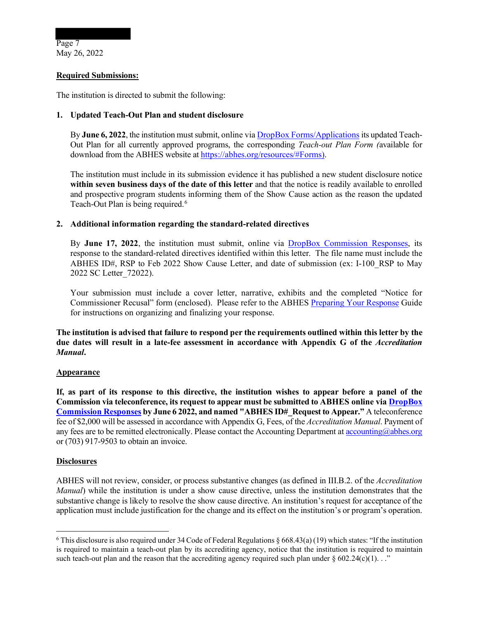## **Required Submissions:**

The institution is directed to submit the following:

## **1. Updated Teach-Out Plan and student disclosure**

By **June 6, 2022**, the institution must submit, online via DropBox Forms/Applications its updated Teach-Out Plan for all currently approved programs, the corresponding *Teach-out Plan Form (*available for download from the ABHES website at https://abhes.org/resources/#Forms).

The institution must include in its submission evidence it has published a new student disclosure notice **within seven business days of the date of this letter** and that the notice is readily available to enrolled and prospective program students informing them of the Show Cause action as the reason the updated Teach-Out Plan is being required.<sup>6</sup>

## **2. Additional information regarding the standard-related directives**

By **June 17, 2022**, the institution must submit, online via DropBox Commission Responses, its response to the standard-related directives identified within this letter. The file name must include the ABHES ID#, RSP to Feb 2022 Show Cause Letter, and date of submission (ex: I-100 RSP to May 2022 SC Letter\_72022).

Your submission must include a cover letter, narrative, exhibits and the completed "Notice for Commissioner Recusal" form (enclosed). Please refer to the ABHES Preparing Your Response Guide for instructions on organizing and finalizing your response.

**The institution is advised that failure to respond per the requirements outlined within this letter by the due dates will result in a late-fee assessment in accordance with Appendix G of the** *Accreditation Manual***.** 

#### **Appearance**

**If, as part of its response to this directive, the institution wishes to appear before a panel of the Commission via teleconference, its request to appear must be submitted to ABHES online via DropBox Commission Responses by June 6 2022, and named "ABHES ID#\_Request to Appear."** A teleconference fee of \$2,000 will be assessed in accordance with Appendix G, Fees, of the *Accreditation Manual*. Payment of any fees are to be remitted electronically. Please contact the Accounting Department at accounting  $\omega$ abhes.org or (703) 917‐9503 to obtain an invoice.

## **Disclosures**

ABHES will not review, consider, or process substantive changes (as defined in III.B.2. of the *Accreditation Manual*) while the institution is under a show cause directive, unless the institution demonstrates that the substantive change is likely to resolve the show cause directive. An institution's request for acceptance of the application must include justification for the change and its effect on the institution's or program's operation.

<sup>&</sup>lt;sup>6</sup> This disclosure is also required under 34 Code of Federal Regulations  $\S 668.43(a)(19)$  which states: "If the institution is required to maintain a teach-out plan by its accrediting agency, notice that the institution is required to maintain such teach-out plan and the reason that the accrediting agency required such plan under  $\S 602.24(c)(1)$ ..."